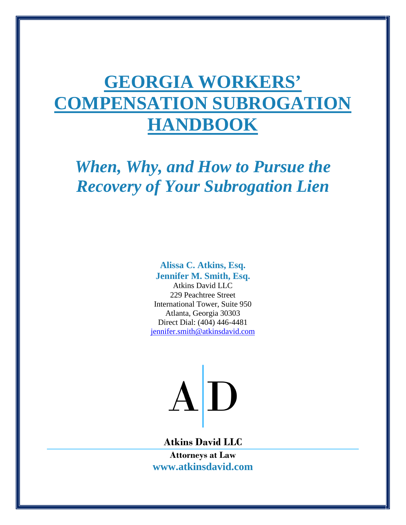# **GEORGIA WORKERS' COMPENSATION SUBROGATION HANDBOOK**

*When, Why, and How to Pursue the Recovery of Your Subrogation Lien*

> **Alissa C. Atkins, Esq. Jennifer M. Smith, Esq.**

Atkins David LLC 229 Peachtree Street International Tower, Suite 950 Atlanta, Georgia 30303 Direct Dial: (404) 446-4481 jennifer.smith@atkinsdavid.com



**Atkins David LLC**

**Attorneys at Law www.atkinsdavid.com**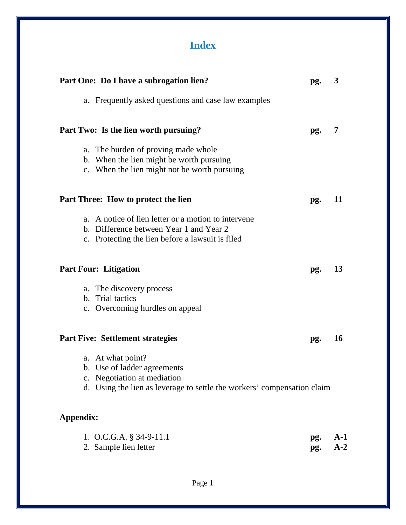# **Index**

| Part One: Do I have a subrogation lien?                                                                                                                    | pg.        | 3              |
|------------------------------------------------------------------------------------------------------------------------------------------------------------|------------|----------------|
| a. Frequently asked questions and case law examples                                                                                                        |            |                |
| Part Two: Is the lien worth pursuing?                                                                                                                      | pg.        | 7              |
| The burden of proving made whole<br>a.<br>b. When the lien might be worth pursuing<br>c. When the lien might not be worth pursuing                         |            |                |
| <b>Part Three: How to protect the lien</b>                                                                                                                 | pg.        | 11             |
| a. A notice of lien letter or a motion to intervene<br>b. Difference between Year 1 and Year 2<br>c. Protecting the lien before a lawsuit is filed         |            |                |
| <b>Part Four: Litigation</b>                                                                                                                               | pg.        | 13             |
| a. The discovery process<br>b. Trial tactics<br>c. Overcoming hurdles on appeal                                                                            |            |                |
| <b>Part Five: Settlement strategies</b>                                                                                                                    | pg.        | <b>16</b>      |
| a. At what point?<br>b. Use of ladder agreements<br>c. Negotiation at mediation<br>d. Using the lien as leverage to settle the workers' compensation claim |            |                |
| Appendix:                                                                                                                                                  |            |                |
| 1. O.C.G.A. $\S$ 34-9-11.1<br>2. Sample lien letter                                                                                                        | pg.<br>pg. | $A-1$<br>$A-2$ |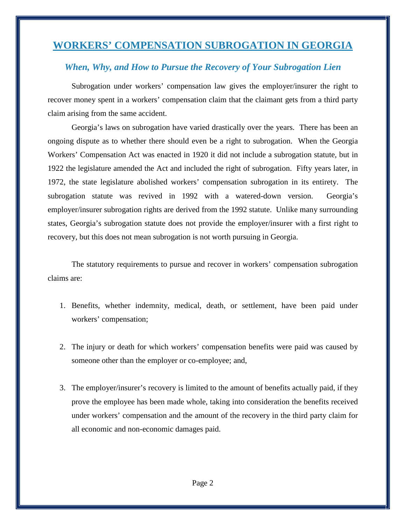# **WORKERS' COMPENSATION SUBROGATION IN GEORGIA**

# *When, Why, and How to Pursue the Recovery of Your Subrogation Lien*

Subrogation under workers' compensation law gives the employer/insurer the right to recover money spent in a workers' compensation claim that the claimant gets from a third party claim arising from the same accident.

Georgia's laws on subrogation have varied drastically over the years. There has been an ongoing dispute as to whether there should even be a right to subrogation. When the Georgia Workers' Compensation Act was enacted in 1920 it did not include a subrogation statute, but in 1922 the legislature amended the Act and included the right of subrogation. Fifty years later, in 1972, the state legislature abolished workers' compensation subrogation in its entirety. The subrogation statute was revived in 1992 with a watered-down version. Georgia's employer/insurer subrogation rights are derived from the 1992 statute. Unlike many surrounding states, Georgia's subrogation statute does not provide the employer/insurer with a first right to recovery, but this does not mean subrogation is not worth pursuing in Georgia.

The statutory requirements to pursue and recover in workers' compensation subrogation claims are:

- 1. Benefits, whether indemnity, medical, death, or settlement, have been paid under workers' compensation;
- 2. The injury or death for which workers' compensation benefits were paid was caused by someone other than the employer or co-employee; and,
- 3. The employer/insurer's recovery is limited to the amount of benefits actually paid, if they prove the employee has been made whole, taking into consideration the benefits received under workers' compensation and the amount of the recovery in the third party claim for all economic and non-economic damages paid.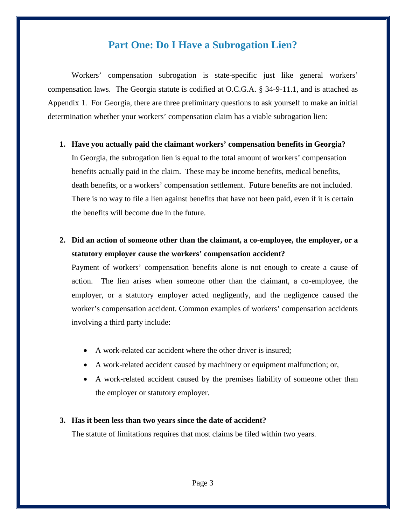# **Part One: Do I Have a Subrogation Lien?**

Workers' compensation subrogation is state-specific just like general workers' compensation laws. The Georgia statute is codified at O.C.G.A. § 34-9-11.1, and is attached as Appendix 1. For Georgia, there are three preliminary questions to ask yourself to make an initial determination whether your workers' compensation claim has a viable subrogation lien:

**1. Have you actually paid the claimant workers' compensation benefits in Georgia?**

In Georgia, the subrogation lien is equal to the total amount of workers' compensation benefits actually paid in the claim. These may be income benefits, medical benefits, death benefits, or a workers' compensation settlement. Future benefits are not included. There is no way to file a lien against benefits that have not been paid, even if it is certain the benefits will become due in the future.

**2. Did an action of someone other than the claimant, a co-employee, the employer, or a statutory employer cause the workers' compensation accident?**

Payment of workers' compensation benefits alone is not enough to create a cause of action. The lien arises when someone other than the claimant, a co-employee, the employer, or a statutory employer acted negligently, and the negligence caused the worker's compensation accident. Common examples of workers' compensation accidents involving a third party include:

- A work-related car accident where the other driver is insured;
- A work-related accident caused by machinery or equipment malfunction; or,
- A work-related accident caused by the premises liability of someone other than the employer or statutory employer.

## **3. Has it been less than two years since the date of accident?**

The statute of limitations requires that most claims be filed within two years.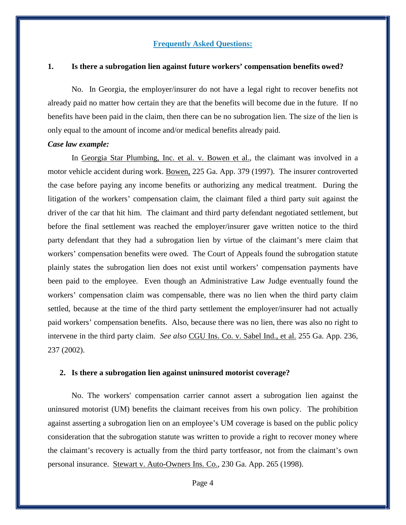## **Frequently Asked Questions:**

#### **1. Is there a subrogation lien against future workers' compensation benefits owed?**

No. In Georgia, the employer/insurer do not have a legal right to recover benefits not already paid no matter how certain they are that the benefits will become due in the future. If no benefits have been paid in the claim, then there can be no subrogation lien. The size of the lien is only equal to the amount of income and/or medical benefits already paid.

#### *Case law example:*

In Georgia Star Plumbing, Inc. et al. v. Bowen et al., the claimant was involved in a motor vehicle accident during work. Bowen, 225 Ga. App. 379 (1997). The insurer controverted the case before paying any income benefits or authorizing any medical treatment. During the litigation of the workers' compensation claim, the claimant filed a third party suit against the driver of the car that hit him. The claimant and third party defendant negotiated settlement, but before the final settlement was reached the employer/insurer gave written notice to the third party defendant that they had a subrogation lien by virtue of the claimant's mere claim that workers' compensation benefits were owed. The Court of Appeals found the subrogation statute plainly states the subrogation lien does not exist until workers' compensation payments have been paid to the employee. Even though an Administrative Law Judge eventually found the workers' compensation claim was compensable, there was no lien when the third party claim settled, because at the time of the third party settlement the employer/insurer had not actually paid workers' compensation benefits. Also, because there was no lien, there was also no right to intervene in the third party claim. *See also* CGU Ins. Co. v. Sabel Ind., et al. 255 Ga. App. 236, 237 (2002).

#### **2. Is there a subrogation lien against uninsured motorist coverage?**

No. The workers' compensation carrier cannot assert a subrogation lien against the uninsured motorist (UM) benefits the claimant receives from his own policy. The prohibition against asserting a subrogation lien on an employee's UM coverage is based on the public policy consideration that the subrogation statute was written to provide a right to recover money where the claimant's recovery is actually from the third party tortfeasor, not from the claimant's own personal insurance. Stewart v. Auto-Owners Ins. Co., 230 Ga. App. 265 (1998).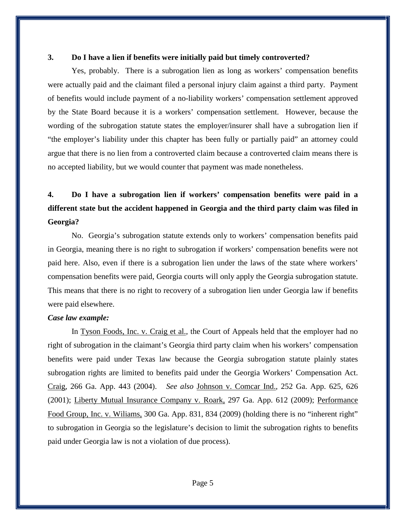## **3. Do I have a lien if benefits were initially paid but timely controverted?**

Yes, probably. There is a subrogation lien as long as workers' compensation benefits were actually paid and the claimant filed a personal injury claim against a third party. Payment of benefits would include payment of a no-liability workers' compensation settlement approved by the State Board because it is a workers' compensation settlement. However, because the wording of the subrogation statute states the employer/insurer shall have a subrogation lien if "the employer's liability under this chapter has been fully or partially paid" an attorney could argue that there is no lien from a controverted claim because a controverted claim means there is no accepted liability, but we would counter that payment was made nonetheless.

# **4. Do I have a subrogation lien if workers' compensation benefits were paid in a different state but the accident happened in Georgia and the third party claim was filed in Georgia?**

No. Georgia's subrogation statute extends only to workers' compensation benefits paid in Georgia, meaning there is no right to subrogation if workers' compensation benefits were not paid here. Also, even if there is a subrogation lien under the laws of the state where workers' compensation benefits were paid, Georgia courts will only apply the Georgia subrogation statute. This means that there is no right to recovery of a subrogation lien under Georgia law if benefits were paid elsewhere.

## *Case law example:*

In Tyson Foods, Inc. v. Craig et al., the Court of Appeals held that the employer had no right of subrogation in the claimant's Georgia third party claim when his workers' compensation benefits were paid under Texas law because the Georgia subrogation statute plainly states subrogation rights are limited to benefits paid under the Georgia Workers' Compensation Act. Craig, 266 Ga. App. 443 (2004). *See also* Johnson v. Comcar Ind., 252 Ga. App. 625, 626 (2001); Liberty Mutual Insurance Company v. Roark, 297 Ga. App. 612 (2009); Performance Food Group, Inc. v. Wiliams, 300 Ga. App. 831, 834 (2009) (holding there is no "inherent right" to subrogation in Georgia so the legislature's decision to limit the subrogation rights to benefits paid under Georgia law is not a violation of due process).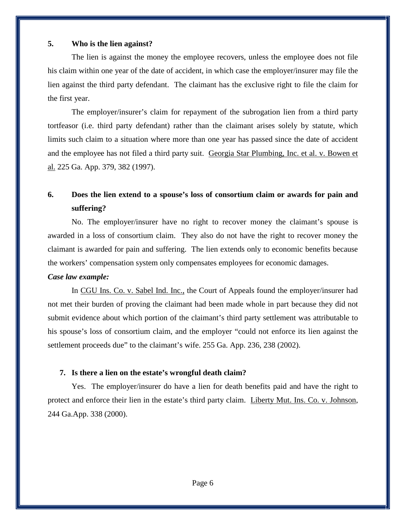# **5. Who is the lien against?**

The lien is against the money the employee recovers, unless the employee does not file his claim within one year of the date of accident, in which case the employer/insurer may file the lien against the third party defendant. The claimant has the exclusive right to file the claim for the first year.

The employer/insurer's claim for repayment of the subrogation lien from a third party tortfeasor (i.e. third party defendant) rather than the claimant arises solely by statute, which limits such claim to a situation where more than one year has passed since the date of accident and the employee has not filed a third party suit. Georgia Star Plumbing, Inc. et al. v. Bowen et al. 225 Ga. App. 379, 382 (1997).

# **6. Does the lien extend to a spouse's loss of consortium claim or awards for pain and suffering?**

No. The employer/insurer have no right to recover money the claimant's spouse is awarded in a loss of consortium claim. They also do not have the right to recover money the claimant is awarded for pain and suffering. The lien extends only to economic benefits because the workers' compensation system only compensates employees for economic damages.

## *Case law example:*

In CGU Ins. Co. v. Sabel Ind. Inc., the Court of Appeals found the employer/insurer had not met their burden of proving the claimant had been made whole in part because they did not submit evidence about which portion of the claimant's third party settlement was attributable to his spouse's loss of consortium claim, and the employer "could not enforce its lien against the settlement proceeds due" to the claimant's wife. 255 Ga. App. 236, 238 (2002).

# **7. Is there a lien on the estate's wrongful death claim?**

Yes. The employer/insurer do have a lien for death benefits paid and have the right to protect and enforce their lien in the estate's third party claim. Liberty Mut. Ins. Co. v. Johnson, 244 Ga.App. 338 (2000).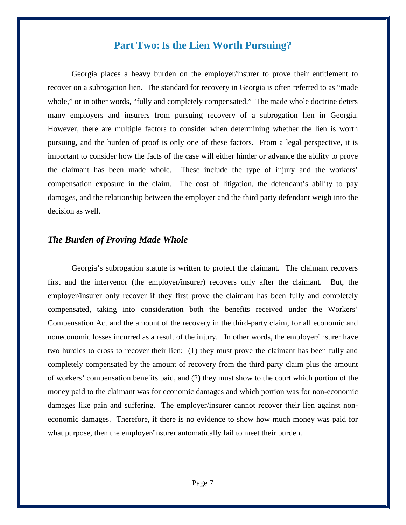# **Part Two: Is the Lien Worth Pursuing?**

Georgia places a heavy burden on the employer/insurer to prove their entitlement to recover on a subrogation lien. The standard for recovery in Georgia is often referred to as "made whole," or in other words, "fully and completely compensated." The made whole doctrine deters many employers and insurers from pursuing recovery of a subrogation lien in Georgia. However, there are multiple factors to consider when determining whether the lien is worth pursuing, and the burden of proof is only one of these factors. From a legal perspective, it is important to consider how the facts of the case will either hinder or advance the ability to prove the claimant has been made whole. These include the type of injury and the workers' compensation exposure in the claim. The cost of litigation, the defendant's ability to pay damages, and the relationship between the employer and the third party defendant weigh into the decision as well.

# *The Burden of Proving Made Whole*

Georgia's subrogation statute is written to protect the claimant. The claimant recovers first and the intervenor (the employer/insurer) recovers only after the claimant. But, the employer/insurer only recover if they first prove the claimant has been fully and completely compensated, taking into consideration both the benefits received under the Workers' Compensation Act and the amount of the recovery in the third-party claim, for all economic and noneconomic losses incurred as a result of the injury. In other words, the employer/insurer have two hurdles to cross to recover their lien: (1) they must prove the claimant has been fully and completely compensated by the amount of recovery from the third party claim plus the amount of workers' compensation benefits paid, and (2) they must show to the court which portion of the money paid to the claimant was for economic damages and which portion was for non-economic damages like pain and suffering. The employer/insurer cannot recover their lien against noneconomic damages. Therefore, if there is no evidence to show how much money was paid for what purpose, then the employer/insurer automatically fail to meet their burden.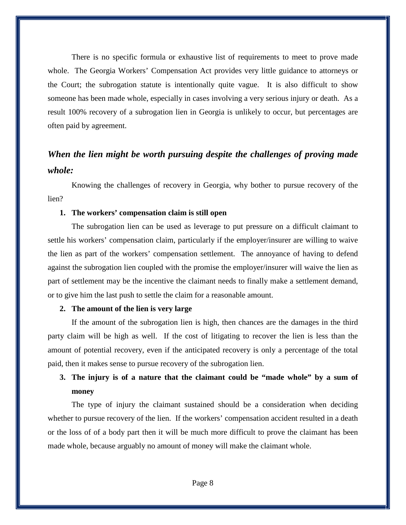There is no specific formula or exhaustive list of requirements to meet to prove made whole. The Georgia Workers' Compensation Act provides very little guidance to attorneys or the Court; the subrogation statute is intentionally quite vague. It is also difficult to show someone has been made whole, especially in cases involving a very serious injury or death. As a result 100% recovery of a subrogation lien in Georgia is unlikely to occur, but percentages are often paid by agreement.

# *When the lien might be worth pursuing despite the challenges of proving made whole:*

Knowing the challenges of recovery in Georgia, why bother to pursue recovery of the lien?

# **1. The workers' compensation claim is still open**

The subrogation lien can be used as leverage to put pressure on a difficult claimant to settle his workers' compensation claim, particularly if the employer/insurer are willing to waive the lien as part of the workers' compensation settlement. The annoyance of having to defend against the subrogation lien coupled with the promise the employer/insurer will waive the lien as part of settlement may be the incentive the claimant needs to finally make a settlement demand, or to give him the last push to settle the claim for a reasonable amount.

### **2. The amount of the lien is very large**

If the amount of the subrogation lien is high, then chances are the damages in the third party claim will be high as well. If the cost of litigating to recover the lien is less than the amount of potential recovery, even if the anticipated recovery is only a percentage of the total paid, then it makes sense to pursue recovery of the subrogation lien.

# **3. The injury is of a nature that the claimant could be "made whole" by a sum of money**

The type of injury the claimant sustained should be a consideration when deciding whether to pursue recovery of the lien. If the workers' compensation accident resulted in a death or the loss of of a body part then it will be much more difficult to prove the claimant has been made whole, because arguably no amount of money will make the claimant whole.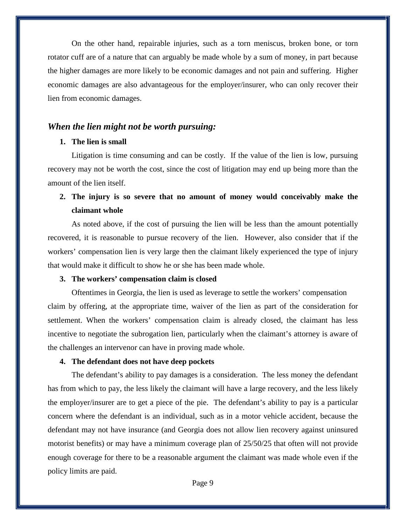On the other hand, repairable injuries, such as a torn meniscus, broken bone, or torn rotator cuff are of a nature that can arguably be made whole by a sum of money, in part because the higher damages are more likely to be economic damages and not pain and suffering. Higher economic damages are also advantageous for the employer/insurer, who can only recover their lien from economic damages.

# *When the lien might not be worth pursuing:*

# **1. The lien is small**

Litigation is time consuming and can be costly. If the value of the lien is low, pursuing recovery may not be worth the cost, since the cost of litigation may end up being more than the amount of the lien itself.

# **2. The injury is so severe that no amount of money would conceivably make the claimant whole**

As noted above, if the cost of pursuing the lien will be less than the amount potentially recovered, it is reasonable to pursue recovery of the lien. However, also consider that if the workers' compensation lien is very large then the claimant likely experienced the type of injury that would make it difficult to show he or she has been made whole.

## **3. The workers' compensation claim is closed**

Oftentimes in Georgia, the lien is used as leverage to settle the workers' compensation claim by offering, at the appropriate time, waiver of the lien as part of the consideration for settlement. When the workers' compensation claim is already closed, the claimant has less incentive to negotiate the subrogation lien, particularly when the claimant's attorney is aware of the challenges an intervenor can have in proving made whole.

#### **4. The defendant does not have deep pockets**

The defendant's ability to pay damages is a consideration. The less money the defendant has from which to pay, the less likely the claimant will have a large recovery, and the less likely the employer/insurer are to get a piece of the pie. The defendant's ability to pay is a particular concern where the defendant is an individual, such as in a motor vehicle accident, because the defendant may not have insurance (and Georgia does not allow lien recovery against uninsured motorist benefits) or may have a minimum coverage plan of 25/50/25 that often will not provide enough coverage for there to be a reasonable argument the claimant was made whole even if the policy limits are paid.

Page 9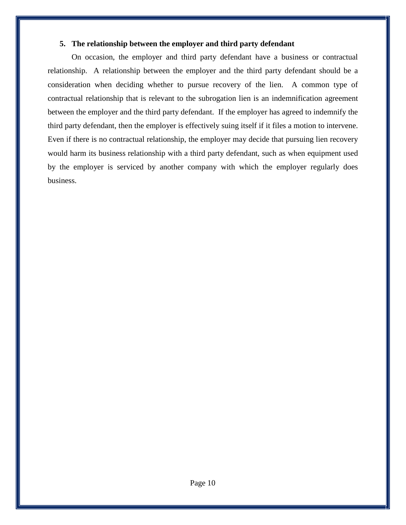# **5. The relationship between the employer and third party defendant**

On occasion, the employer and third party defendant have a business or contractual relationship. A relationship between the employer and the third party defendant should be a consideration when deciding whether to pursue recovery of the lien. A common type of contractual relationship that is relevant to the subrogation lien is an indemnification agreement between the employer and the third party defendant. If the employer has agreed to indemnify the third party defendant, then the employer is effectively suing itself if it files a motion to intervene. Even if there is no contractual relationship, the employer may decide that pursuing lien recovery would harm its business relationship with a third party defendant, such as when equipment used by the employer is serviced by another company with which the employer regularly does business.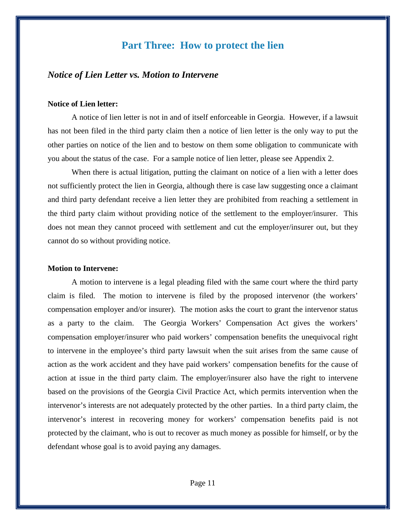# **Part Three: How to protect the lien**

# *Notice of Lien Letter vs. Motion to Intervene*

## **Notice of Lien letter:**

A notice of lien letter is not in and of itself enforceable in Georgia. However, if a lawsuit has not been filed in the third party claim then a notice of lien letter is the only way to put the other parties on notice of the lien and to bestow on them some obligation to communicate with you about the status of the case. For a sample notice of lien letter, please see Appendix 2.

When there is actual litigation, putting the claimant on notice of a lien with a letter does not sufficiently protect the lien in Georgia, although there is case law suggesting once a claimant and third party defendant receive a lien letter they are prohibited from reaching a settlement in the third party claim without providing notice of the settlement to the employer/insurer. This does not mean they cannot proceed with settlement and cut the employer/insurer out, but they cannot do so without providing notice.

#### **Motion to Intervene:**

A motion to intervene is a legal pleading filed with the same court where the third party claim is filed. The motion to intervene is filed by the proposed intervenor (the workers' compensation employer and/or insurer). The motion asks the court to grant the intervenor status as a party to the claim. The Georgia Workers' Compensation Act gives the workers' compensation employer/insurer who paid workers' compensation benefits the unequivocal right to intervene in the employee's third party lawsuit when the suit arises from the same cause of action as the work accident and they have paid workers' compensation benefits for the cause of action at issue in the third party claim. The employer/insurer also have the right to intervene based on the provisions of the Georgia Civil Practice Act, which permits intervention when the intervenor's interests are not adequately protected by the other parties. In a third party claim, the intervenor's interest in recovering money for workers' compensation benefits paid is not protected by the claimant, who is out to recover as much money as possible for himself, or by the defendant whose goal is to avoid paying any damages.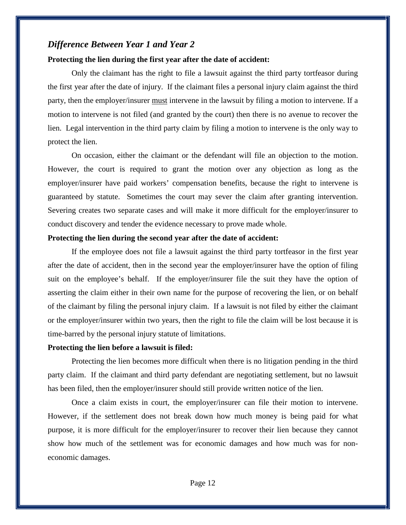# *Difference Between Year 1 and Year 2*

## **Protecting the lien during the first year after the date of accident:**

Only the claimant has the right to file a lawsuit against the third party tortfeasor during the first year after the date of injury. If the claimant files a personal injury claim against the third party, then the employer/insurer must intervene in the lawsuit by filing a motion to intervene. If a motion to intervene is not filed (and granted by the court) then there is no avenue to recover the lien. Legal intervention in the third party claim by filing a motion to intervene is the only way to protect the lien.

On occasion, either the claimant or the defendant will file an objection to the motion. However, the court is required to grant the motion over any objection as long as the employer/insurer have paid workers' compensation benefits, because the right to intervene is guaranteed by statute. Sometimes the court may sever the claim after granting intervention. Severing creates two separate cases and will make it more difficult for the employer/insurer to conduct discovery and tender the evidence necessary to prove made whole.

### **Protecting the lien during the second year after the date of accident:**

If the employee does not file a lawsuit against the third party tortfeasor in the first year after the date of accident, then in the second year the employer/insurer have the option of filing suit on the employee's behalf. If the employer/insurer file the suit they have the option of asserting the claim either in their own name for the purpose of recovering the lien, or on behalf of the claimant by filing the personal injury claim. If a lawsuit is not filed by either the claimant or the employer/insurer within two years, then the right to file the claim will be lost because it is time-barred by the personal injury statute of limitations.

### **Protecting the lien before a lawsuit is filed:**

Protecting the lien becomes more difficult when there is no litigation pending in the third party claim. If the claimant and third party defendant are negotiating settlement, but no lawsuit has been filed, then the employer/insurer should still provide written notice of the lien.

Once a claim exists in court, the employer/insurer can file their motion to intervene. However, if the settlement does not break down how much money is being paid for what purpose, it is more difficult for the employer/insurer to recover their lien because they cannot show how much of the settlement was for economic damages and how much was for noneconomic damages.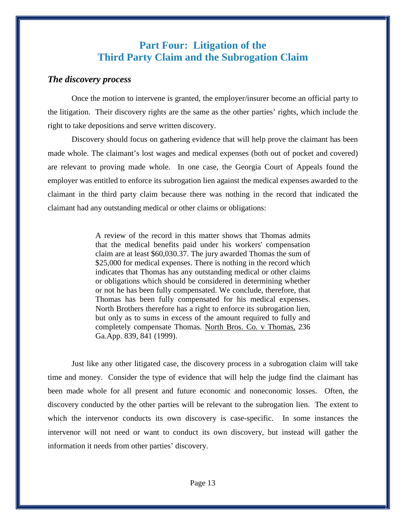# **Part Four: Litigation of the Third Party Claim and the Subrogation Claim**

# *The discovery process*

Once the motion to intervene is granted, the employer/insurer become an official party to the litigation. Their discovery rights are the same as the other parties' rights, which include the right to take depositions and serve written discovery.

Discovery should focus on gathering evidence that will help prove the claimant has been made whole. The claimant's lost wages and medical expenses (both out of pocket and covered) are relevant to proving made whole. In one case, the Georgia Court of Appeals found the employer was entitled to enforce its subrogation lien against the medical expenses awarded to the claimant in the third party claim because there was nothing in the record that indicated the claimant had any outstanding medical or other claims or obligations:

> A review of the record in this matter shows that Thomas admits that the medical benefits paid under his workers' compensation claim are at least \$60,030.37. The jury awarded Thomas the sum of \$25,000 for medical expenses. There is nothing in the record which indicates that Thomas has any outstanding medical or other claims or obligations which should be considered in determining whether or not he has been fully compensated. We conclude, therefore, that Thomas has been fully compensated for his medical expenses. North Brothers therefore has a right to enforce its subrogation lien, but only as to sums in excess of the amount required to fully and completely compensate Thomas. North Bros. Co. v Thomas, 236 Ga.App. 839, 841 (1999).

Just like any other litigated case, the discovery process in a subrogation claim will take time and money. Consider the type of evidence that will help the judge find the claimant has been made whole for all present and future economic and noneconomic losses. Often, the discovery conducted by the other parties will be relevant to the subrogation lien. The extent to which the intervenor conducts its own discovery is case-specific. In some instances the intervenor will not need or want to conduct its own discovery, but instead will gather the information it needs from other parties' discovery.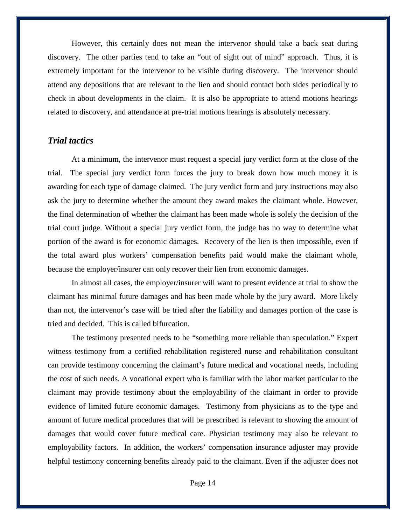However, this certainly does not mean the intervenor should take a back seat during discovery. The other parties tend to take an "out of sight out of mind" approach. Thus, it is extremely important for the intervenor to be visible during discovery. The intervenor should attend any depositions that are relevant to the lien and should contact both sides periodically to check in about developments in the claim. It is also be appropriate to attend motions hearings related to discovery, and attendance at pre-trial motions hearings is absolutely necessary.

# *Trial tactics*

At a minimum, the intervenor must request a special jury verdict form at the close of the trial. The special jury verdict form forces the jury to break down how much money it is awarding for each type of damage claimed. The jury verdict form and jury instructions may also ask the jury to determine whether the amount they award makes the claimant whole. However, the final determination of whether the claimant has been made whole is solely the decision of the trial court judge. Without a special jury verdict form, the judge has no way to determine what portion of the award is for economic damages. Recovery of the lien is then impossible, even if the total award plus workers' compensation benefits paid would make the claimant whole, because the employer/insurer can only recover their lien from economic damages.

In almost all cases, the employer/insurer will want to present evidence at trial to show the claimant has minimal future damages and has been made whole by the jury award. More likely than not, the intervenor's case will be tried after the liability and damages portion of the case is tried and decided. This is called bifurcation.

The testimony presented needs to be "something more reliable than speculation." Expert witness testimony from a certified rehabilitation registered nurse and rehabilitation consultant can provide testimony concerning the claimant's future medical and vocational needs, including the cost of such needs. A vocational expert who is familiar with the labor market particular to the claimant may provide testimony about the employability of the claimant in order to provide evidence of limited future economic damages. Testimony from physicians as to the type and amount of future medical procedures that will be prescribed is relevant to showing the amount of damages that would cover future medical care. Physician testimony may also be relevant to employability factors. In addition, the workers' compensation insurance adjuster may provide helpful testimony concerning benefits already paid to the claimant. Even if the adjuster does not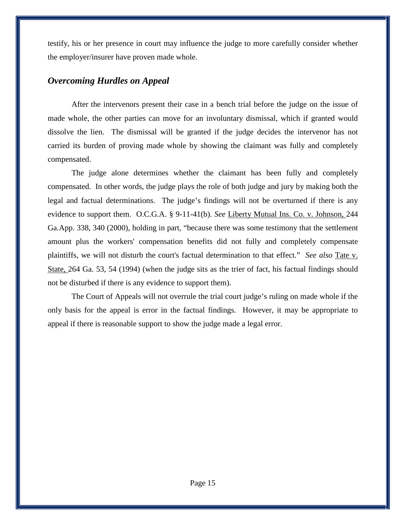testify, his or her presence in court may influence the judge to more carefully consider whether the employer/insurer have proven made whole.

# *Overcoming Hurdles on Appeal*

After the intervenors present their case in a bench trial before the judge on the issue of made whole, the other parties can move for an involuntary dismissal, which if granted would dissolve the lien. The dismissal will be granted if the judge decides the intervenor has not carried its burden of proving made whole by showing the claimant was fully and completely compensated.

The judge alone determines whether the claimant has been fully and completely compensated. In other words, the judge plays the role of both judge and jury by making both the legal and factual determinations. The judge's findings will not be overturned if there is any evidence to support them. O.C.G.A. § 9-11-41(b). *See* Liberty Mutual Ins. Co. v. Johnson, 244 Ga.App. 338, 340 (2000), holding in part, "because there was some testimony that the settlement amount plus the workers' compensation benefits did not fully and completely compensate plaintiffs, we will not disturb the court's factual determination to that effect." *See also* Tate v. State, 264 Ga. 53, 54 (1994) (when the judge sits as the trier of fact, his factual findings should not be disturbed if there is any evidence to support them).

The Court of Appeals will not overrule the trial court judge's ruling on made whole if the only basis for the appeal is error in the factual findings. However, it may be appropriate to appeal if there is reasonable support to show the judge made a legal error.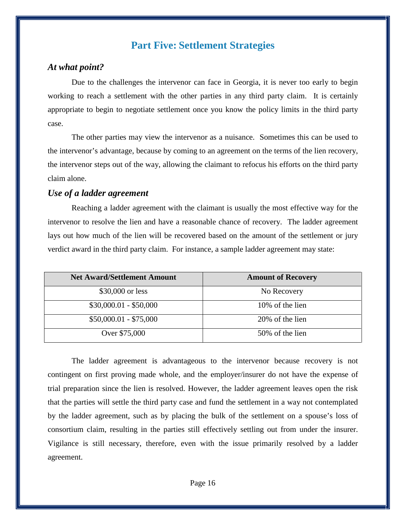# **Part Five: Settlement Strategies**

# *At what point?*

Due to the challenges the intervenor can face in Georgia, it is never too early to begin working to reach a settlement with the other parties in any third party claim. It is certainly appropriate to begin to negotiate settlement once you know the policy limits in the third party case.

The other parties may view the intervenor as a nuisance. Sometimes this can be used to the intervenor's advantage, because by coming to an agreement on the terms of the lien recovery, the intervenor steps out of the way, allowing the claimant to refocus his efforts on the third party claim alone.

# *Use of a ladder agreement*

Reaching a ladder agreement with the claimant is usually the most effective way for the intervenor to resolve the lien and have a reasonable chance of recovery. The ladder agreement lays out how much of the lien will be recovered based on the amount of the settlement or jury verdict award in the third party claim. For instance, a sample ladder agreement may state:

| <b>Net Award/Settlement Amount</b> | <b>Amount of Recovery</b> |
|------------------------------------|---------------------------|
| \$30,000 or less                   | No Recovery               |
| $$30,000.01 - $50,000$             | 10\% of the lien          |
| $$50,000.01 - $75,000$             | 20% of the lien           |
| Over \$75,000                      | 50% of the lien           |

The ladder agreement is advantageous to the intervenor because recovery is not contingent on first proving made whole, and the employer/insurer do not have the expense of trial preparation since the lien is resolved. However, the ladder agreement leaves open the risk that the parties will settle the third party case and fund the settlement in a way not contemplated by the ladder agreement, such as by placing the bulk of the settlement on a spouse's loss of consortium claim, resulting in the parties still effectively settling out from under the insurer. Vigilance is still necessary, therefore, even with the issue primarily resolved by a ladder agreement.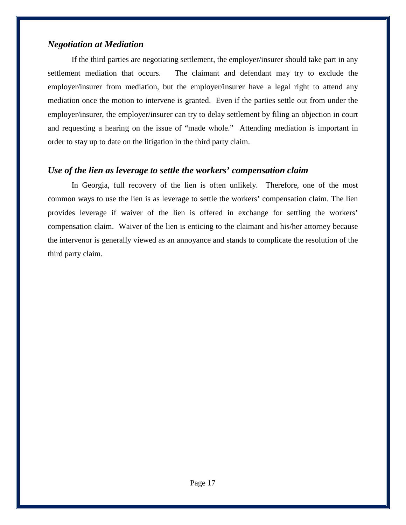# *Negotiation at Mediation*

If the third parties are negotiating settlement, the employer/insurer should take part in any settlement mediation that occurs. The claimant and defendant may try to exclude the employer/insurer from mediation, but the employer/insurer have a legal right to attend any mediation once the motion to intervene is granted. Even if the parties settle out from under the employer/insurer, the employer/insurer can try to delay settlement by filing an objection in court and requesting a hearing on the issue of "made whole." Attending mediation is important in order to stay up to date on the litigation in the third party claim.

# *Use of the lien as leverage to settle the workers' compensation claim*

In Georgia, full recovery of the lien is often unlikely. Therefore, one of the most common ways to use the lien is as leverage to settle the workers' compensation claim. The lien provides leverage if waiver of the lien is offered in exchange for settling the workers' compensation claim. Waiver of the lien is enticing to the claimant and his/her attorney because the intervenor is generally viewed as an annoyance and stands to complicate the resolution of the third party claim.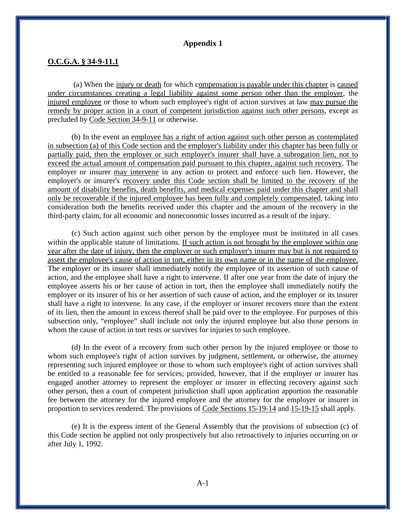## **Appendix 1**

## **O.C.G.A. § 34-9-11.1**

(a) When the injury or death for which compensation is payable under this chapter is caused under circumstances creating a legal liability against some person other than the employer, the injured employee or those to whom such employee's right of action survives at law may pursue the remedy by proper action in a court of competent jurisdiction against such other persons, except as precluded by Code Section 34-9-11 or otherwise.

(b) In the event an employee has a right of action against such other person as contemplated in subsection (a) of this Code section and the employer's liability under this chapter has been fully or partially paid, then the employer or such employer's insurer shall have a subrogation lien, not to exceed the actual amount of compensation paid pursuant to this chapter, against such recovery. The employer or insurer may intervene in any action to protect and enforce such lien. However, the employer's or insurer's recovery under this Code section shall be limited to the recovery of the amount of disability benefits, death benefits, and medical expenses paid under this chapter and shall only be recoverable if the injured employee has been fully and completely compensated, taking into consideration both the benefits received under this chapter and the amount of the recovery in the third-party claim, for all economic and noneconomic losses incurred as a result of the injury.

(c) Such action against such other person by the employee must be instituted in all cases within the applicable statute of limitations. If such action is not brought by the employee within one year after the date of injury, then the employer or such employer's insurer may but is not required to assert the employee's cause of action in tort, either in its own name or in the name of the employee. The employer or its insurer shall immediately notify the employee of its assertion of such cause of action, and the employee shall have a right to intervene. If after one year from the date of injury the employee asserts his or her cause of action in tort, then the employee shall immediately notify the employer or its insurer of his or her assertion of such cause of action, and the employer or its insurer shall have a right to intervene. In any case, if the employer or insurer recovers more than the extent of its lien, then the amount in excess thereof shall be paid over to the employee. For purposes of this subsection only, "employee" shall include not only the injured employee but also those persons in whom the cause of action in tort rests or survives for injuries to such employee.

(d) In the event of a recovery from such other person by the injured employee or those to whom such employee's right of action survives by judgment, settlement, or otherwise, the attorney representing such injured employee or those to whom such employee's right of action survives shall be entitled to a reasonable fee for services; provided, however, that if the employer or insurer has engaged another attorney to represent the employer or insurer in effecting recovery against such other person, then a court of competent jurisdiction shall upon application apportion the reasonable fee between the attorney for the injured employee and the attorney for the employer or insurer in proportion to services rendered. The provisions of Code Sections 15-19-14 and 15-19-15 shall apply.

(e) It is the express intent of the General Assembly that the provisions of subsection (c) of this Code section be applied not only prospectively but also retroactively to injuries occurring on or after July 1, 1992.